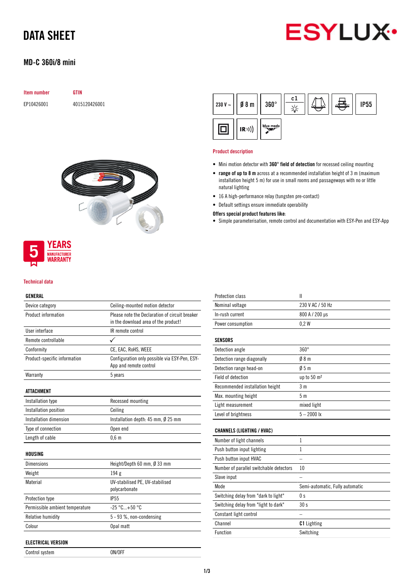

# DATA SHEET

## MD-C 360i/8 mini

| <b>Item number</b> | GTIN          |  |  |
|--------------------|---------------|--|--|
| EP10426001         | 4015120426001 |  |  |



### **YEARS MANUFACTURER** WARRANTY

#### Technical data

### GENERAL

| Device category                 | Ceiling-mounted motion detector                                                        |
|---------------------------------|----------------------------------------------------------------------------------------|
| Product information             | Please note the Declaration of circuit breaker<br>in the download area of the product! |
| User interface                  | IR remote control                                                                      |
| Remote controllable             | ✓                                                                                      |
| Conformity                      | CE, EAC, RoHS, WEEE                                                                    |
| Product-specific information    | Configuration only possible via ESY-Pen, ESY-<br>App and remote control                |
| Warranty                        | 5 years                                                                                |
| <b>ATTACHMENT</b>               |                                                                                        |
| Installation type               | Recessed mounting                                                                      |
| Installation position           | Ceiling                                                                                |
| Installation dimension          | Installation depth: $45$ mm, $\emptyset$ 25 mm                                         |
| Type of connection              | Open end                                                                               |
| Length of cable                 | $0,6$ m                                                                                |
| HOUSING                         |                                                                                        |
| <b>Dimensions</b>               | Height/Depth 60 mm, Ø 33 mm                                                            |
| Weight                          | 194 g                                                                                  |
| Material                        | UV-stabilised PE, UV-stabilised<br>polycarbonate                                       |
| <b>Protection type</b>          | <b>IP55</b>                                                                            |
| Permissible ambient temperature | $-25 °C+50 °C$                                                                         |
| Relative humidity               | 5 - 93 %, non-condensing                                                               |
| Colour                          | Opal matt                                                                              |

Control system ON/OFF

| 230 V ~ $\vert$ Ø 8 m |      | $360^\circ$ | c1 |  | <b>IP55</b> |
|-----------------------|------|-------------|----|--|-------------|
|                       | (R)) | blue mode   |    |  |             |

#### Product description

- Mini motion detector with 360° field of detection for recessed ceiling mounting
- range of up to 8 m across at a recommended installation height of 3 m (maximum installation height 5 m) for use in small rooms and passageways with no or little natural lighting
- 16 A high-performance relay (tungsten pre-contact)
- Default settings ensure immediate operability

#### Offers special product features like:

• Simple parameterisation, remote control and documentation with ESY-Pen and ESY-App

| <b>Protection class</b>                 | $\mathbf{I}$                    |
|-----------------------------------------|---------------------------------|
| Nominal voltage                         | 230 V AC / 50 Hz                |
| In-rush current                         | 800 A / 200 µs                  |
| Power consumption                       | 0.2W                            |
| <b>SENSORS</b>                          |                                 |
| Detection angle                         | $360^\circ$                     |
| Detection range diagonally              | 08 <sub>m</sub>                 |
| Detection range head-on                 | 05m                             |
| Field of detection                      | up to 50 m <sup>2</sup>         |
| Recommended installation height         | 3 <sub>m</sub>                  |
| Max. mounting height                    | 5 <sub>m</sub>                  |
| Light measurement                       | mixed light                     |
| Level of brightness                     | $5 - 2000$ lx                   |
| <b>CHANNELS (LIGHTING / HVAC)</b>       |                                 |
| Number of light channels                | $\mathbf{1}$                    |
| Push button input lighting              | $\mathbf{1}$                    |
| Push button input HVAC                  |                                 |
| Number of parallel switchable detectors | 10                              |
| Slave input                             |                                 |
| Mode                                    | Semi-automatic, Fully automatic |
| Switching delay from "dark to light"    | 0 <sub>s</sub>                  |
| Switching delay from "light to dark"    | 30s                             |
| Constant light control                  |                                 |
| Channel                                 | <b>C1</b> Lighting              |
| Function                                | Switching                       |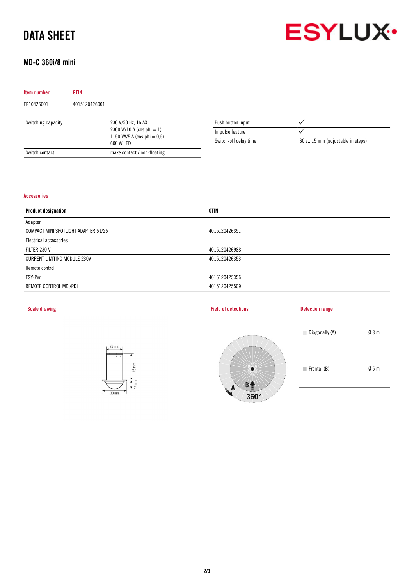# DATA SHEET



# MD-C 360i/8 mini

| Item number        | <b>GTIN</b>   |                                                                                                   |                       |                                  |
|--------------------|---------------|---------------------------------------------------------------------------------------------------|-----------------------|----------------------------------|
| EP10426001         | 4015120426001 |                                                                                                   |                       |                                  |
| Switching capacity |               | 230 V/50 Hz, 16 AX<br>2300 W/10 A (cos phi $= 1$ )<br>1150 VA/5 A (cos phi $= 0.5$ )<br>600 W LED | Push button input     |                                  |
|                    |               |                                                                                                   | Impulse feature       |                                  |
|                    |               |                                                                                                   | Switch-off delay time | 60 s15 min (adjustable in steps) |
| Switch contact     |               | make contact / non-floating                                                                       |                       |                                  |

#### Accessories

| <b>Product designation</b>           | <b>GTIN</b>   |
|--------------------------------------|---------------|
| Adapter                              |               |
| COMPACT MINI SPOTLIGHT ADAPTER 51/25 | 4015120426391 |
| Electrical accessories               |               |
| FILTER 230 V                         | 4015120426988 |
| <b>CURRENT LIMITING MODULE 230V</b>  | 4015120426353 |
| Remote control                       |               |
| ESY-Pen                              | 4015120425356 |
| REMOTE CONTROL MDi/PDi               | 4015120425509 |
|                                      |               |

| <b>Scale drawing</b>               | <b>Field of detections</b>                      | <b>Detection range</b>                        |
|------------------------------------|-------------------------------------------------|-----------------------------------------------|
| $25$ mm                            |                                                 |                                               |
| $45 \text{ mm}$<br>$\frac{15}{15}$ | $\bullet$                                       | $\emptyset$ 5 m<br>$\blacksquare$ Frontal (B) |
| $33$ mm                            | $\mathbf{A}$<br>ME.<br>$360^\circ$<br>Terms and |                                               |